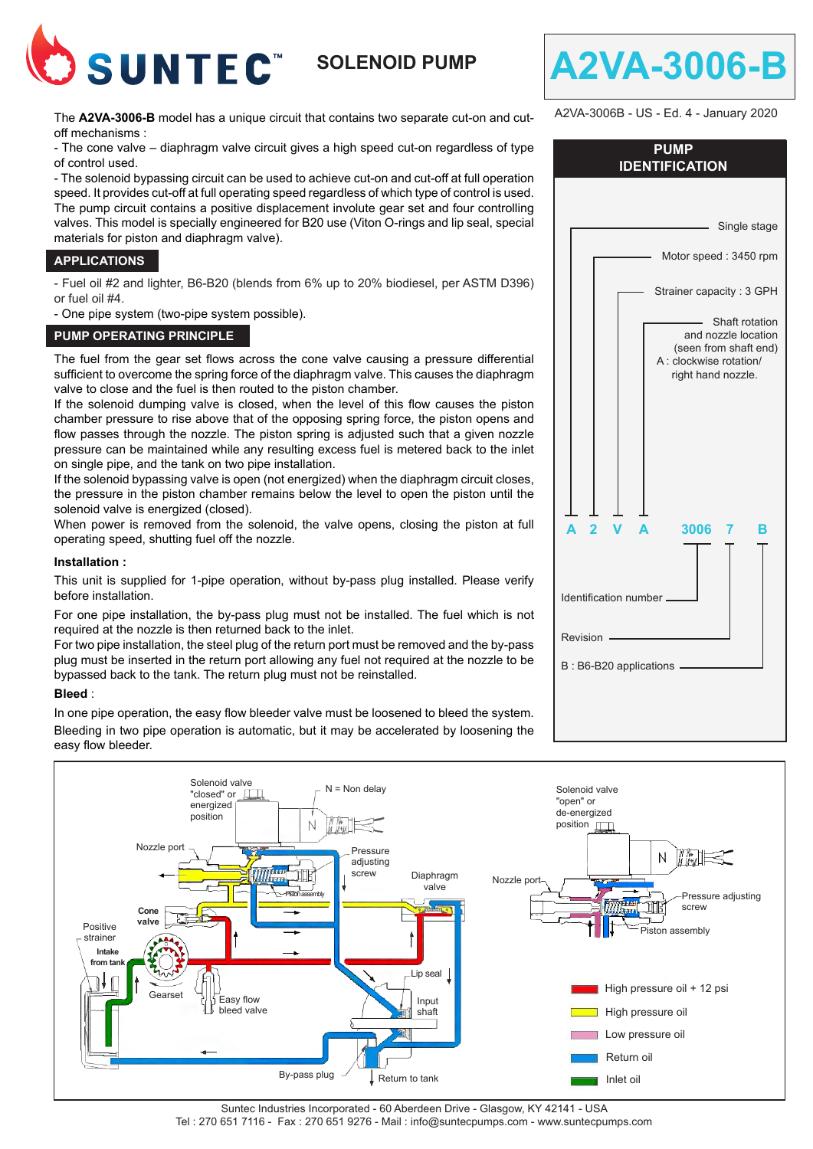

# **SOLENOID PUMP**

The **A2VA-3006-B** model has a unique circuit that contains two separate cut-on and cutoff mechanisms :

- The cone valve – diaphragm valve circuit gives a high speed cut-on regardless of type of control used.

- The solenoid bypassing circuit can be used to achieve cut-on and cut-off at full operation speed. It provides cut-off at full operating speed regardless of which type of control is used. The pump circuit contains a positive displacement involute gear set and four controlling valves. This model is specially engineered for B20 use (Viton O-rings and lip seal, special materials for piston and diaphragm valve).

## **APPLICATIONS**

- Fuel oil #2 and lighter, B6-B20 (blends from 6% up to 20% biodiesel, per ASTM D396) or fuel oil #4.

- One pipe system (two-pipe system possible).

### **PUMP OPERATING PRINCIPLE**

The fuel from the gear set flows across the cone valve causing a pressure differential sufficient to overcome the spring force of the diaphragm valve. This causes the diaphragm valve to close and the fuel is then routed to the piston chamber.

If the solenoid dumping valve is closed, when the level of this flow causes the piston chamber pressure to rise above that of the opposing spring force, the piston opens and flow passes through the nozzle. The piston spring is adjusted such that a given nozzle pressure can be maintained while any resulting excess fuel is metered back to the inlet on single pipe, and the tank on two pipe installation.

If the solenoid bypassing valve is open (not energized) when the diaphragm circuit closes, the pressure in the piston chamber remains below the level to open the piston until the solenoid valve is energized (closed).

When power is removed from the solenoid, the valve opens, closing the piston at full operating speed, shutting fuel off the nozzle.

### **Installation :**

This unit is supplied for 1-pipe operation, without by-pass plug installed. Please verify before installation.

For one pipe installation, the by-pass plug must not be installed. The fuel which is not required at the nozzle is then returned back to the inlet.

For two pipe installation, the steel plug of the return port must be removed and the by-pass plug must be inserted in the return port allowing any fuel not required at the nozzle to be bypassed back to the tank. The return plug must not be reinstalled.

### **Bleed** :

In one pipe operation, the easy flow bleeder valve must be loosened to bleed the system. Bleeding in two pipe operation is automatic, but it may be accelerated by loosening the easy flow bleeder.



| A2VA-3006B - US - Ed. 4 - January 2020 |  |                                                                                                                 |  |  |
|----------------------------------------|--|-----------------------------------------------------------------------------------------------------------------|--|--|
| <b>PUMP</b><br><b>IDENTIFICATION</b>   |  |                                                                                                                 |  |  |
|                                        |  |                                                                                                                 |  |  |
|                                        |  | Single stage                                                                                                    |  |  |
|                                        |  | Motor speed: 3450 rpm                                                                                           |  |  |
|                                        |  | Strainer capacity: 3 GPH                                                                                        |  |  |
|                                        |  | Shaft rotation<br>and nozzle location<br>(seen from shaft end)<br>A : clockwise rotation/<br>right hand nozzle. |  |  |

**A 2 V A 3006 7 B**

Identification number

B : B6-B20 applications -

Revision

**A2VA-3006-B**

Suntec Industries Incorporated - 60 Aberdeen Drive - Glasgow, KY 42141 - USA Tel : 270 651 7116 - Fax : 270 651 9276 - Mail : info@suntecpumps.com - www.suntecpumps.com